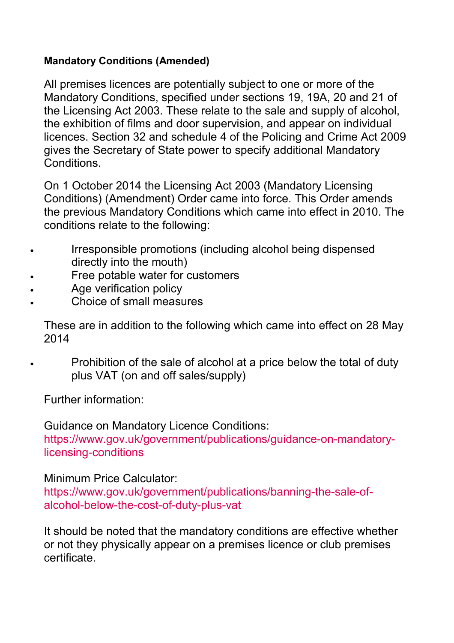## **Mandatory Conditions (Amended)**

All premises licences are potentially subject to one or more of the Mandatory Conditions, specified under sections 19, 19A, 20 and 21 of the Licensing Act 2003. These relate to the sale and supply of alcohol, the exhibition of films and door supervision, and appear on individual licences. Section 32 and schedule 4 of the Policing and Crime Act 2009 gives the Secretary of State power to specify additional Mandatory Conditions.

On 1 October 2014 the Licensing Act 2003 (Mandatory Licensing Conditions) (Amendment) Order came into force. This Order amends the previous Mandatory Conditions which came into effect in 2010. The conditions relate to the following:

- Irresponsible promotions (including alcohol being dispensed directly into the mouth)
- Free potable water for customers
- Age verification policy
- Choice of small measures

 These are in addition to the following which came into effect on 28 May 2014

• Prohibition of the sale of alcohol at a price below the total of duty plus VAT (on and off sales/supply)

Further information:

Guidance on Mandatory Licence Conditions: https://www.gov.uk/government/publications/guidance-on-mandatorylicensing-conditions

# Minimum Price Calculator:

https://www.gov.uk/government/publications/banning-the-sale-ofalcohol-below-the-cost-of-duty-plus-vat

It should be noted that the mandatory conditions are effective whether or not they physically appear on a premises licence or club premises certificate.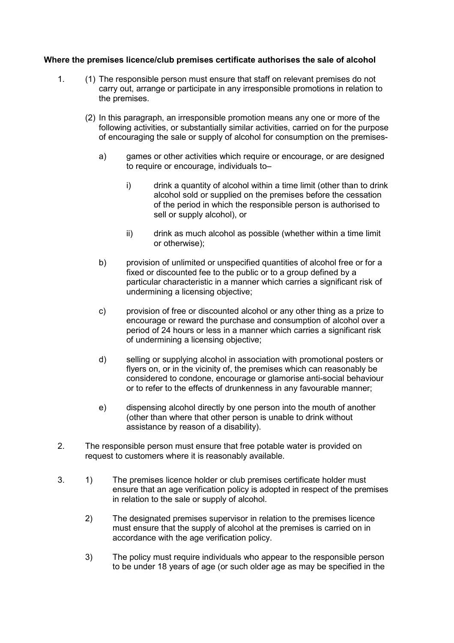## **Where the premises licence/club premises certificate authorises the sale of alcohol**

- 1. (1) The responsible person must ensure that staff on relevant premises do not carry out, arrange or participate in any irresponsible promotions in relation to the premises.
	- (2) In this paragraph, an irresponsible promotion means any one or more of the following activities, or substantially similar activities, carried on for the purpose of encouraging the sale or supply of alcohol for consumption on the premises
		- a) games or other activities which require or encourage, or are designed to require or encourage, individuals to–
			- i) drink a quantity of alcohol within a time limit (other than to drink alcohol sold or supplied on the premises before the cessation of the period in which the responsible person is authorised to sell or supply alcohol), or
			- ii) drink as much alcohol as possible (whether within a time limit or otherwise);
		- b) provision of unlimited or unspecified quantities of alcohol free or for a fixed or discounted fee to the public or to a group defined by a particular characteristic in a manner which carries a significant risk of undermining a licensing objective;
		- c) provision of free or discounted alcohol or any other thing as a prize to encourage or reward the purchase and consumption of alcohol over a period of 24 hours or less in a manner which carries a significant risk of undermining a licensing objective;
		- d) selling or supplying alcohol in association with promotional posters or flyers on, or in the vicinity of, the premises which can reasonably be considered to condone, encourage or glamorise anti-social behaviour or to refer to the effects of drunkenness in any favourable manner;
		- e) dispensing alcohol directly by one person into the mouth of another (other than where that other person is unable to drink without assistance by reason of a disability).
- 2. The responsible person must ensure that free potable water is provided on request to customers where it is reasonably available.
- 3. 1) The premises licence holder or club premises certificate holder must ensure that an age verification policy is adopted in respect of the premises in relation to the sale or supply of alcohol.
	- 2) The designated premises supervisor in relation to the premises licence must ensure that the supply of alcohol at the premises is carried on in accordance with the age verification policy.
	- 3) The policy must require individuals who appear to the responsible person to be under 18 years of age (or such older age as may be specified in the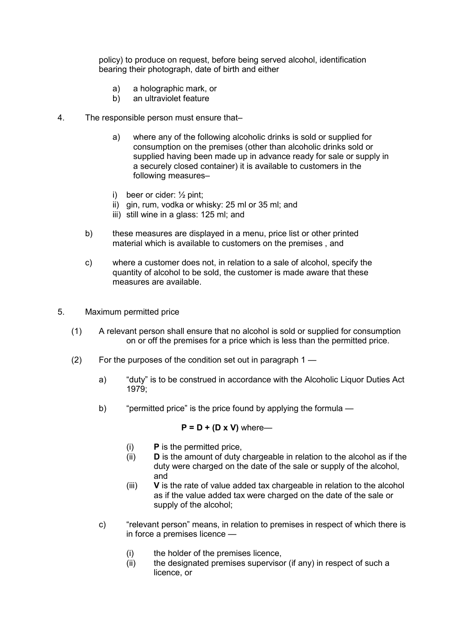policy) to produce on request, before being served alcohol, identification bearing their photograph, date of birth and either

- a) a holographic mark, or
- b) an ultraviolet feature
- 4. The responsible person must ensure that–
	- a) where any of the following alcoholic drinks is sold or supplied for consumption on the premises (other than alcoholic drinks sold or supplied having been made up in advance ready for sale or supply in a securely closed container) it is available to customers in the following measures–
	- i) beer or cider:  $\frac{1}{2}$  pint;
	- ii) gin, rum, vodka or whisky: 25 ml or 35 ml; and
	- iii) still wine in a glass: 125 ml; and
	- b) these measures are displayed in a menu, price list or other printed material which is available to customers on the premises , and
	- c) where a customer does not, in relation to a sale of alcohol, specify the quantity of alcohol to be sold, the customer is made aware that these measures are available.
- 5. Maximum permitted price
	- (1) A relevant person shall ensure that no alcohol is sold or supplied for consumption on or off the premises for a price which is less than the permitted price.
	- (2) For the purposes of the condition set out in paragraph 1
		- a) "duty" is to be construed in accordance with the Alcoholic Liquor Duties Act 1979;
		- b) "permitted price" is the price found by applying the formula —

#### $P = D + (D \times V)$  where-

- (i) **P** is the permitted price,
- (ii) **D** is the amount of duty chargeable in relation to the alcohol as if the duty were charged on the date of the sale or supply of the alcohol, and
- (iii) **V** is the rate of value added tax chargeable in relation to the alcohol as if the value added tax were charged on the date of the sale or supply of the alcohol;
- c) "relevant person" means, in relation to premises in respect of which there is in force a premises licence —
	- (i) the holder of the premises licence,
	- (ii) the designated premises supervisor (if any) in respect of such a licence, or